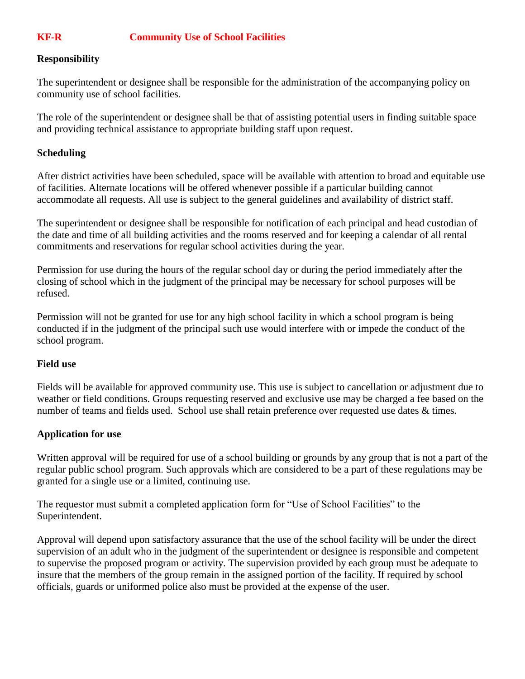# **KF-R Community Use of School Facilities**

### **Responsibility**

The superintendent or designee shall be responsible for the administration of the accompanying policy on community use of school facilities.

The role of the superintendent or designee shall be that of assisting potential users in finding suitable space and providing technical assistance to appropriate building staff upon request.

### **Scheduling**

After district activities have been scheduled, space will be available with attention to broad and equitable use of facilities. Alternate locations will be offered whenever possible if a particular building cannot accommodate all requests. All use is subject to the general guidelines and availability of district staff.

The superintendent or designee shall be responsible for notification of each principal and head custodian of the date and time of all building activities and the rooms reserved and for keeping a calendar of all rental commitments and reservations for regular school activities during the year.

Permission for use during the hours of the regular school day or during the period immediately after the closing of school which in the judgment of the principal may be necessary for school purposes will be refused.

Permission will not be granted for use for any high school facility in which a school program is being conducted if in the judgment of the principal such use would interfere with or impede the conduct of the school program.

### **Field use**

Fields will be available for approved community use. This use is subject to cancellation or adjustment due to weather or field conditions. Groups requesting reserved and exclusive use may be charged a fee based on the number of teams and fields used. School use shall retain preference over requested use dates  $\&$  times.

### **Application for use**

Written approval will be required for use of a school building or grounds by any group that is not a part of the regular public school program. Such approvals which are considered to be a part of these regulations may be granted for a single use or a limited, continuing use.

The requestor must submit a completed application form for "Use of School Facilities" to the Superintendent.

Approval will depend upon satisfactory assurance that the use of the school facility will be under the direct supervision of an adult who in the judgment of the superintendent or designee is responsible and competent to supervise the proposed program or activity. The supervision provided by each group must be adequate to insure that the members of the group remain in the assigned portion of the facility. If required by school officials, guards or uniformed police also must be provided at the expense of the user.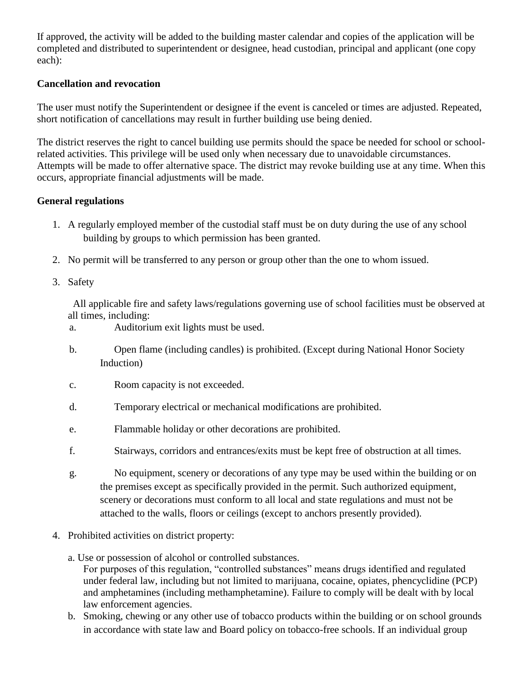If approved, the activity will be added to the building master calendar and copies of the application will be completed and distributed to superintendent or designee, head custodian, principal and applicant (one copy each):

## **Cancellation and revocation**

The user must notify the Superintendent or designee if the event is canceled or times are adjusted. Repeated, short notification of cancellations may result in further building use being denied.

The district reserves the right to cancel building use permits should the space be needed for school or schoolrelated activities. This privilege will be used only when necessary due to unavoidable circumstances. Attempts will be made to offer alternative space. The district may revoke building use at any time. When this occurs, appropriate financial adjustments will be made.

### **General regulations**

- 1. A regularly employed member of the custodial staff must be on duty during the use of any school building by groups to which permission has been granted.
- 2. No permit will be transferred to any person or group other than the one to whom issued.
- 3. Safety

 All applicable fire and safety laws/regulations governing use of school facilities must be observed at all times, including:

- a. Auditorium exit lights must be used.
- b. Open flame (including candles) is prohibited. (Except during National Honor Society Induction)
- c. Room capacity is not exceeded.
- d. Temporary electrical or mechanical modifications are prohibited.
- e. Flammable holiday or other decorations are prohibited.
- f. Stairways, corridors and entrances/exits must be kept free of obstruction at all times.
- g. No equipment, scenery or decorations of any type may be used within the building or on the premises except as specifically provided in the permit. Such authorized equipment, scenery or decorations must conform to all local and state regulations and must not be attached to the walls, floors or ceilings (except to anchors presently provided).
- 4. Prohibited activities on district property:
	- a. Use or possession of alcohol or controlled substances. For purposes of this regulation, "controlled substances" means drugs identified and regulated under federal law, including but not limited to marijuana, cocaine, opiates, phencyclidine (PCP) and amphetamines (including methamphetamine). Failure to comply will be dealt with by local law enforcement agencies.
	- b. Smoking, chewing or any other use of tobacco products within the building or on school grounds in accordance with state law and Board policy on tobacco-free schools. If an individual group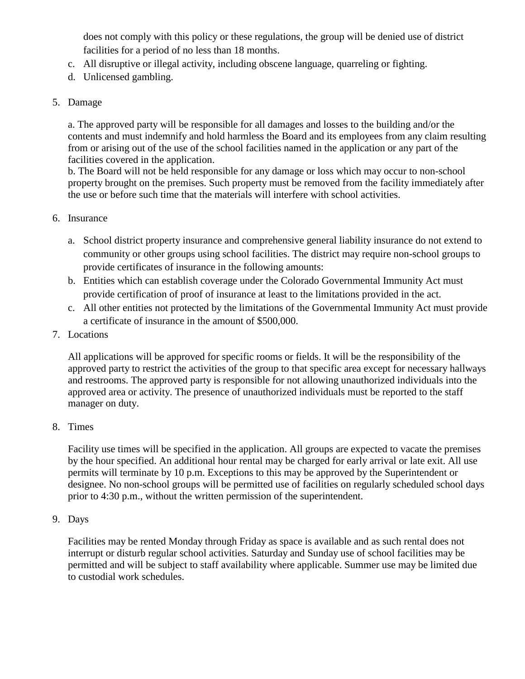does not comply with this policy or these regulations, the group will be denied use of district facilities for a period of no less than 18 months.

- c. All disruptive or illegal activity, including obscene language, quarreling or fighting.
- d. Unlicensed gambling.

## 5. Damage

a. The approved party will be responsible for all damages and losses to the building and/or the contents and must indemnify and hold harmless the Board and its employees from any claim resulting from or arising out of the use of the school facilities named in the application or any part of the facilities covered in the application.

b. The Board will not be held responsible for any damage or loss which may occur to non-school property brought on the premises. Such property must be removed from the facility immediately after the use or before such time that the materials will interfere with school activities.

## 6. Insurance

- a. School district property insurance and comprehensive general liability insurance do not extend to community or other groups using school facilities. The district may require non-school groups to provide certificates of insurance in the following amounts:
- b. Entities which can establish coverage under the Colorado Governmental Immunity Act must provide certification of proof of insurance at least to the limitations provided in the act.
- c. All other entities not protected by the limitations of the Governmental Immunity Act must provide a certificate of insurance in the amount of \$500,000.
- 7. Locations

All applications will be approved for specific rooms or fields. It will be the responsibility of the approved party to restrict the activities of the group to that specific area except for necessary hallways and restrooms. The approved party is responsible for not allowing unauthorized individuals into the approved area or activity. The presence of unauthorized individuals must be reported to the staff manager on duty.

8. Times

Facility use times will be specified in the application. All groups are expected to vacate the premises by the hour specified. An additional hour rental may be charged for early arrival or late exit. All use permits will terminate by 10 p.m. Exceptions to this may be approved by the Superintendent or designee. No non-school groups will be permitted use of facilities on regularly scheduled school days prior to 4:30 p.m., without the written permission of the superintendent.

## 9. Days

Facilities may be rented Monday through Friday as space is available and as such rental does not interrupt or disturb regular school activities. Saturday and Sunday use of school facilities may be permitted and will be subject to staff availability where applicable. Summer use may be limited due to custodial work schedules.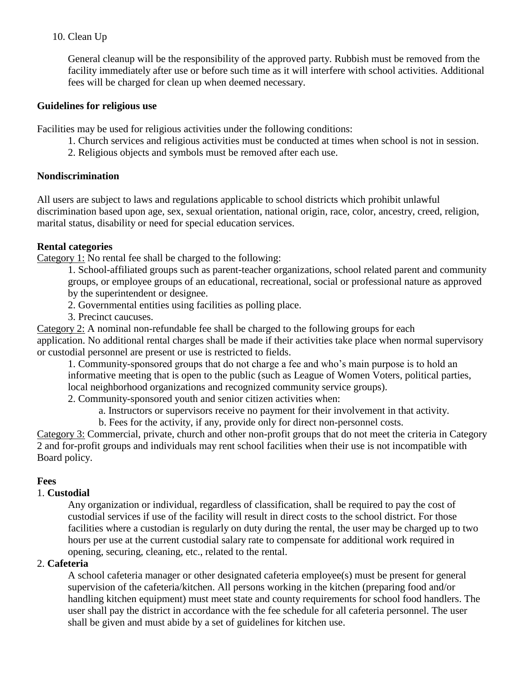## 10. Clean Up

General cleanup will be the responsibility of the approved party. Rubbish must be removed from the facility immediately after use or before such time as it will interfere with school activities. Additional fees will be charged for clean up when deemed necessary.

### **Guidelines for religious use**

Facilities may be used for religious activities under the following conditions:

- 1. Church services and religious activities must be conducted at times when school is not in session.
- 2. Religious objects and symbols must be removed after each use.

### **Nondiscrimination**

All users are subject to laws and regulations applicable to school districts which prohibit unlawful discrimination based upon age, sex, sexual orientation, national origin, race, color, ancestry, creed, religion, marital status, disability or need for special education services.

### **Rental categories**

Category 1: No rental fee shall be charged to the following:

1. School-affiliated groups such as parent-teacher organizations, school related parent and community groups, or employee groups of an educational, recreational, social or professional nature as approved

by the superintendent or designee.

- 2. Governmental entities using facilities as polling place.
- 3. Precinct caucuses.

Category 2: A nominal non-refundable fee shall be charged to the following groups for each application. No additional rental charges shall be made if their activities take place when normal supervisory or custodial personnel are present or use is restricted to fields.

1. Community-sponsored groups that do not charge a fee and who's main purpose is to hold an informative meeting that is open to the public (such as League of Women Voters, political parties, local neighborhood organizations and recognized community service groups).

2. Community-sponsored youth and senior citizen activities when:

a. Instructors or supervisors receive no payment for their involvement in that activity.

b. Fees for the activity, if any, provide only for direct non-personnel costs.

Category 3: Commercial, private, church and other non-profit groups that do not meet the criteria in Category 2 and for-profit groups and individuals may rent school facilities when their use is not incompatible with Board policy.

## **Fees**

## 1. **Custodial**

Any organization or individual, regardless of classification, shall be required to pay the cost of custodial services if use of the facility will result in direct costs to the school district. For those facilities where a custodian is regularly on duty during the rental, the user may be charged up to two hours per use at the current custodial salary rate to compensate for additional work required in opening, securing, cleaning, etc., related to the rental.

## 2. **Cafeteria**

A school cafeteria manager or other designated cafeteria employee(s) must be present for general supervision of the cafeteria/kitchen. All persons working in the kitchen (preparing food and/or handling kitchen equipment) must meet state and county requirements for school food handlers. The user shall pay the district in accordance with the fee schedule for all cafeteria personnel. The user shall be given and must abide by a set of guidelines for kitchen use.